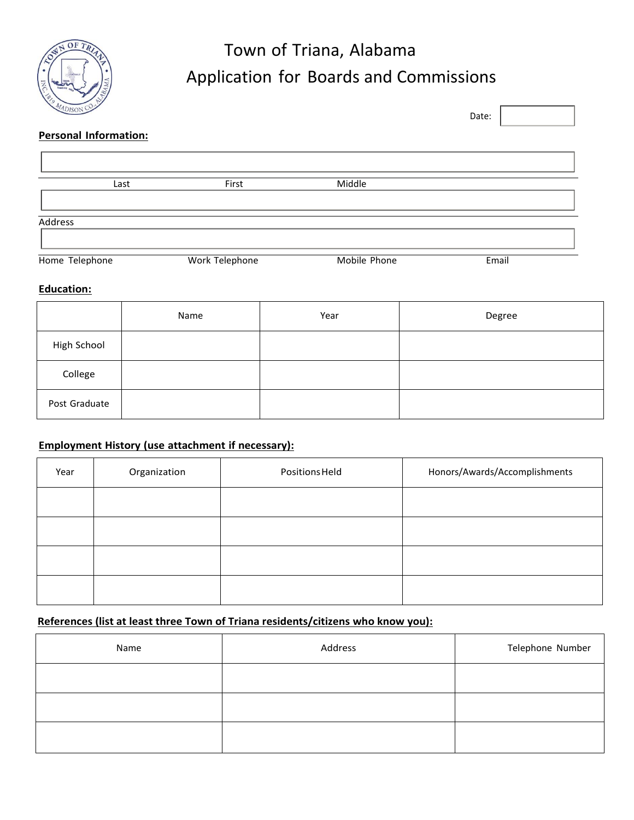

# Town of Triana, Alabama Application for Boards and Commissions

| COISON                       |                |              | Date: |  |
|------------------------------|----------------|--------------|-------|--|
| <b>Personal Information:</b> |                |              |       |  |
|                              |                |              |       |  |
| Last                         | First          | Middle       |       |  |
| Address                      |                |              |       |  |
| Home Telephone               | Work Telephone | Mobile Phone | Email |  |

#### **Education:**

|               | Name | Year | Degree |
|---------------|------|------|--------|
| High School   |      |      |        |
| College       |      |      |        |
| Post Graduate |      |      |        |

### **Employment History (use attachment if necessary):**

| Year | Organization | Positions Held | Honors/Awards/Accomplishments |
|------|--------------|----------------|-------------------------------|
|      |              |                |                               |
|      |              |                |                               |
|      |              |                |                               |
|      |              |                |                               |

## **References (list at least three Town of Triana residents/citizens who know you):**

| Name | Address | Telephone Number |
|------|---------|------------------|
|      |         |                  |
|      |         |                  |
|      |         |                  |